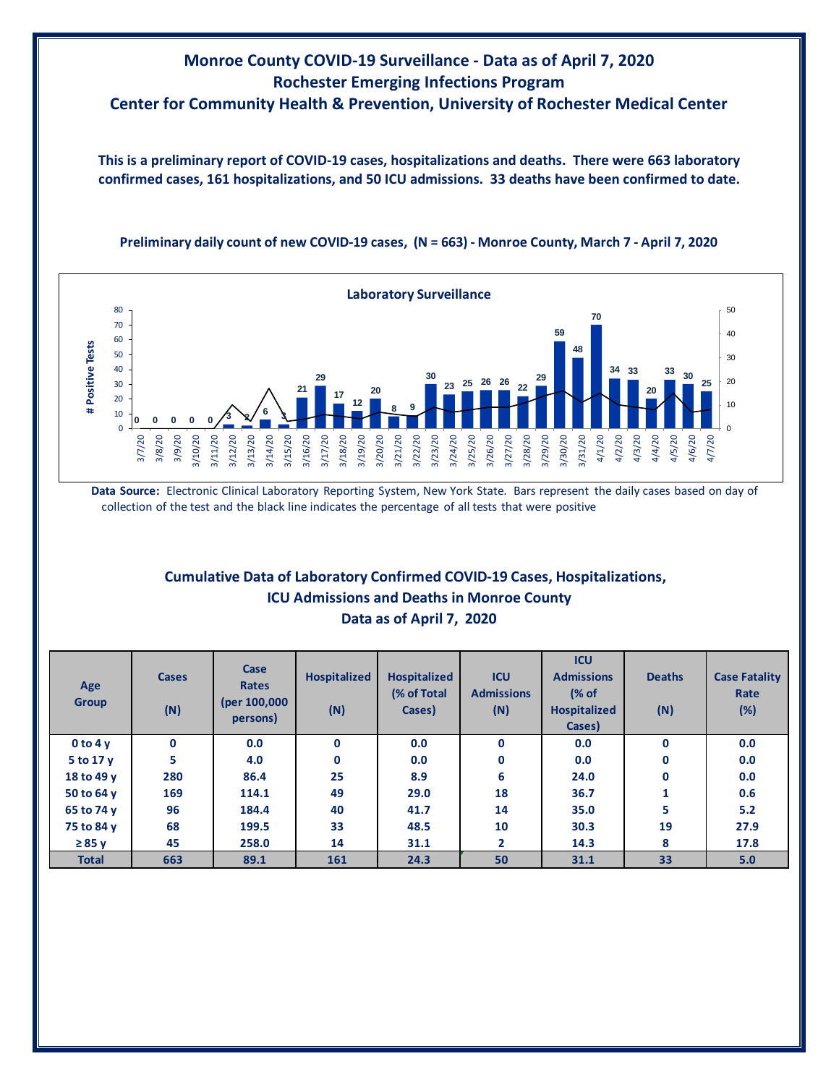## **Monroe County COVID-19 Surveillance - Data as of April 7, 2020 Rochester Emerging Infections Program Center for Community Health & Prevention, University of Rochester Medical Center**

**This is a preliminary report of COVID-19 cases, hospitalizations and deaths. There were 663 laboratory confirmed cases, 161 hospitalizations, and 50 ICU admissions. 33 deaths have been confirmed to date.**





**Data Source:** Electronic Clinical Laboratory Reporting System, New York State. Bars represent the daily cases based on day of collection of the test and the black line indicates the percentage of all tests that were positive

## **Cumulative Data of Laboratory Confirmed COVID-19 Cases, Hospitalizations, Data as of April 7, 2020 ICU Admissions and Deaths in Monroe County**

| Age<br><b>Group</b> | <b>Cases</b><br>(N) | Case<br><b>Rates</b><br>(per 100,000<br>persons) | <b>Hospitalized</b><br>(N) | <b>Hospitalized</b><br>(% of Total<br>Cases) | <b>ICU</b><br><b>Admissions</b><br>(N) | <b>ICU</b><br><b>Admissions</b><br>(% of<br><b>Hospitalized</b><br>Cases) | <b>Deaths</b><br>(N) | <b>Case Fatality</b><br>Rate<br>(%) |
|---------------------|---------------------|--------------------------------------------------|----------------------------|----------------------------------------------|----------------------------------------|---------------------------------------------------------------------------|----------------------|-------------------------------------|
| 0 to 4v             | $\mathbf 0$         | 0.0                                              | $\mathbf 0$                | 0.0                                          | $\mathbf{0}$                           | 0.0                                                                       | $\mathbf{0}$         | 0.0                                 |
| 5 to 17 y           | 5                   | 4.0                                              | $\mathbf 0$                | 0.0                                          | 0                                      | 0.0                                                                       | 0                    | 0.0                                 |
| 18 to 49 y          | 280                 | 86.4                                             | 25                         | 8.9                                          | 6                                      | 24.0                                                                      | 0                    | 0.0                                 |
| 50 to 64 y          | 169                 | 114.1                                            | 49                         | 29.0                                         | 18                                     | 36.7                                                                      | 1                    | 0.6                                 |
| 65 to 74 y          | 96                  | 184.4                                            | 40                         | 41.7                                         | 14                                     | 35.0                                                                      | 5                    | 5.2                                 |
| 75 to 84 y          | 68                  | 199.5                                            | 33                         | 48.5                                         | 10                                     | 30.3                                                                      | 19                   | 27.9                                |
| $\geq 85$ y         | 45                  | 258.0                                            | 14                         | 31.1                                         | $\mathbf{2}$                           | 14.3                                                                      | 8                    | 17.8                                |
| <b>Total</b>        | 663                 | 89.1                                             | 161                        | 24.3                                         | 50                                     | 31.1                                                                      | 33                   | 5.0                                 |
|                     |                     |                                                  |                            |                                              |                                        |                                                                           |                      |                                     |